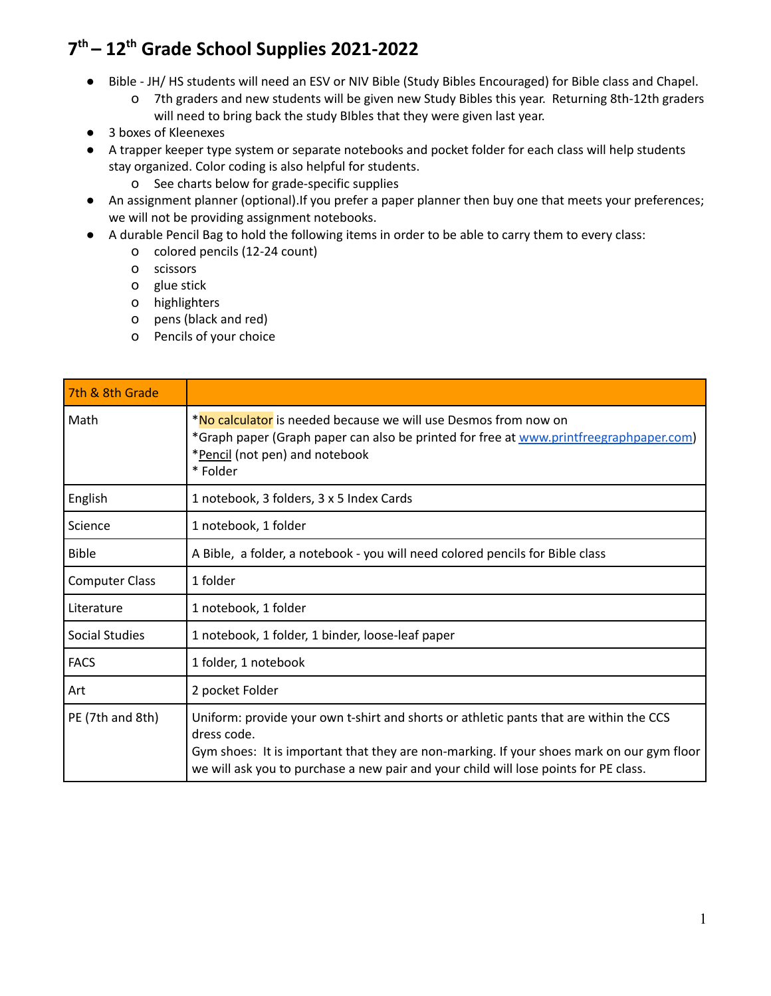## **7 th – 12 th Grade School Supplies 2021-2022**

- Bible JH/ HS students will need an ESV or NIV Bible (Study Bibles Encouraged) for Bible class and Chapel.
	- o 7th graders and new students will be given new Study Bibles this year. Returning 8th-12th graders will need to bring back the study BIbles that they were given last year.
- 3 boxes of Kleenexes
- A trapper keeper type system or separate notebooks and pocket folder for each class will help students stay organized. Color coding is also helpful for students.
	- o See charts below for grade-specific supplies
- An assignment planner (optional).If you prefer a paper planner then buy one that meets your preferences; we will not be providing assignment notebooks.
- A durable Pencil Bag to hold the following items in order to be able to carry them to every class:
	- o colored pencils (12-24 count)
	- o scissors
	- o glue stick
	- o highlighters
	- o pens (black and red)
	- o Pencils of your choice

| 7th & 8th Grade       |                                                                                                                                                                                                                                                                                            |
|-----------------------|--------------------------------------------------------------------------------------------------------------------------------------------------------------------------------------------------------------------------------------------------------------------------------------------|
| Math                  | <b>*No calculator</b> is needed because we will use Desmos from now on<br>*Graph paper (Graph paper can also be printed for free at www.printfreegraphpaper.com)<br>*Pencil (not pen) and notebook<br>* Folder                                                                             |
| English               | 1 notebook, 3 folders, 3 x 5 Index Cards                                                                                                                                                                                                                                                   |
| Science               | 1 notebook, 1 folder                                                                                                                                                                                                                                                                       |
| <b>Bible</b>          | A Bible, a folder, a notebook - you will need colored pencils for Bible class                                                                                                                                                                                                              |
| <b>Computer Class</b> | 1 folder                                                                                                                                                                                                                                                                                   |
| Literature            | 1 notebook, 1 folder                                                                                                                                                                                                                                                                       |
| Social Studies        | 1 notebook, 1 folder, 1 binder, loose-leaf paper                                                                                                                                                                                                                                           |
| <b>FACS</b>           | 1 folder, 1 notebook                                                                                                                                                                                                                                                                       |
| Art                   | 2 pocket Folder                                                                                                                                                                                                                                                                            |
| PE (7th and 8th)      | Uniform: provide your own t-shirt and shorts or athletic pants that are within the CCS<br>dress code.<br>Gym shoes: It is important that they are non-marking. If your shoes mark on our gym floor<br>we will ask you to purchase a new pair and your child will lose points for PE class. |